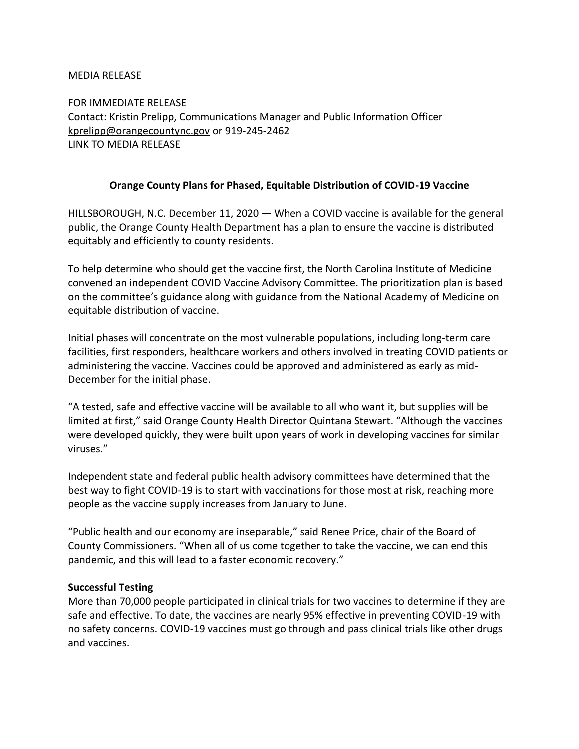#### MEDIA RELEASE

FOR IMMEDIATE RELEASE Contact: Kristin Prelipp, Communications Manager and Public Information Officer [kprelipp@orangecountync.gov](mailto:kprelipp@orangecountync.gov) or 919-245-2462 LINK TO MEDIA RELEASE

## **Orange County Plans for Phased, Equitable Distribution of COVID-19 Vaccine**

HILLSBOROUGH, N.C. December 11, 2020 ― When a COVID vaccine is available for the general public, the Orange County Health Department has a plan to ensure the vaccine is distributed equitably and efficiently to county residents.

To help determine who should get the vaccine first, the North Carolina Institute of Medicine convened an independent COVID Vaccine Advisory Committee. The prioritization plan is based on the committee's guidance along with guidance from the National Academy of Medicine on equitable distribution of vaccine.

Initial phases will concentrate on the most vulnerable populations, including long-term care facilities, first responders, healthcare workers and others involved in treating COVID patients or administering the vaccine. Vaccines could be approved and administered as early as mid-December for the initial phase.

"A tested, safe and effective vaccine will be available to all who want it, but supplies will be limited at first," said Orange County Health Director Quintana Stewart. "Although the vaccines were developed quickly, they were built upon years of work in developing vaccines for similar viruses."

Independent state and federal public health advisory committees have determined that the best way to fight COVID-19 is to start with vaccinations for those most at risk, reaching more people as the vaccine supply increases from January to June.

"Public health and our economy are inseparable," said Renee Price, chair of the Board of County Commissioners. "When all of us come together to take the vaccine, we can end this pandemic, and this will lead to a faster economic recovery."

### **Successful Testing**

More than 70,000 people participated in clinical trials for two vaccines to determine if they are safe and effective. To date, the vaccines are nearly 95% effective in preventing COVID-19 with no safety concerns. COVID-19 vaccines must go through and pass clinical trials like other drugs and vaccines.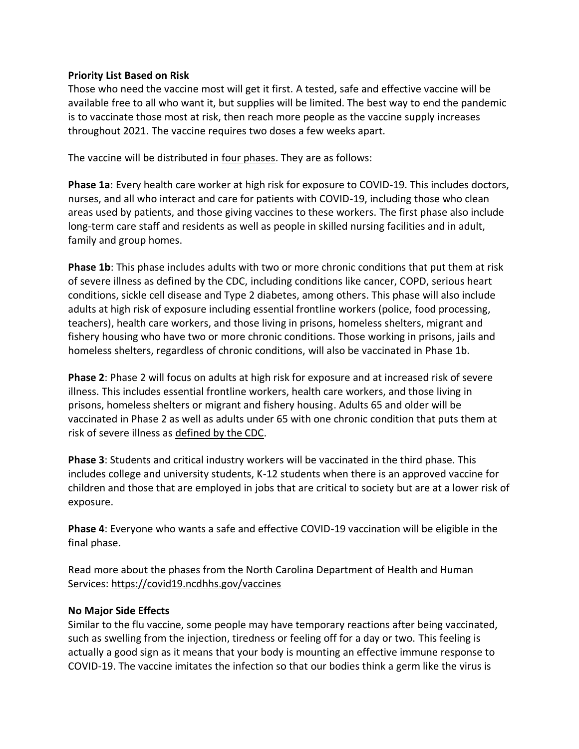## **Priority List Based on Risk**

Those who need the vaccine most will get it first. A tested, safe and effective vaccine will be available free to all who want it, but supplies will be limited. The best way to end the pandemic is to vaccinate those most at risk, then reach more people as the vaccine supply increases throughout 2021. The vaccine requires two doses a few weeks apart.

The vaccine will be distributed in [four phases.](https://covid19.ncdhhs.gov/vaccines#resources) They are as follows:

**Phase 1a**: Every health care worker at high risk for exposure to COVID-19. This includes doctors, nurses, and all who interact and care for patients with COVID-19, including those who clean areas used by patients, and those giving vaccines to these workers. The first phase also include long-term care staff and residents as well as people in skilled nursing facilities and in adult, family and group homes.

**Phase 1b**: This phase includes adults with two or more chronic conditions that put them at risk of severe illness as defined by the CDC, including conditions like cancer, COPD, serious heart conditions, sickle cell disease and Type 2 diabetes, among others. This phase will also include adults at high risk of exposure including essential frontline workers (police, food processing, teachers), health care workers, and those living in prisons, homeless shelters, migrant and fishery housing who have two or more chronic conditions. Those working in prisons, jails and homeless shelters, regardless of chronic conditions, will also be vaccinated in Phase 1b.

**Phase 2**: Phase 2 will focus on adults at high risk for exposure and at increased risk of severe illness. This includes essential frontline workers, health care workers, and those living in prisons, homeless shelters or migrant and fishery housing. Adults 65 and older will be vaccinated in Phase 2 as well as adults under 65 with one chronic condition that puts them at risk of severe illness as [defined by the CDC.](https://www.cdc.gov/coronavirus/2019-ncov/need-extra-precautions/people-with-medical-conditions.html)

**Phase 3**: Students and critical industry workers will be vaccinated in the third phase. This includes college and university students, K-12 students when there is an approved vaccine for children and those that are employed in jobs that are critical to society but are at a lower risk of exposure.

**Phase 4**: Everyone who wants a safe and effective COVID-19 vaccination will be eligible in the final phase.

Read more about the phases from the North Carolina Department of Health and Human Services:<https://covid19.ncdhhs.gov/vaccines>

# **No Major Side Effects**

Similar to the flu vaccine, some people may have temporary reactions after being vaccinated, such as swelling from the injection, tiredness or feeling off for a day or two. This feeling is actually a good sign as it means that your body is mounting an effective immune response to COVID-19. The vaccine imitates the infection so that our bodies think a germ like the virus is